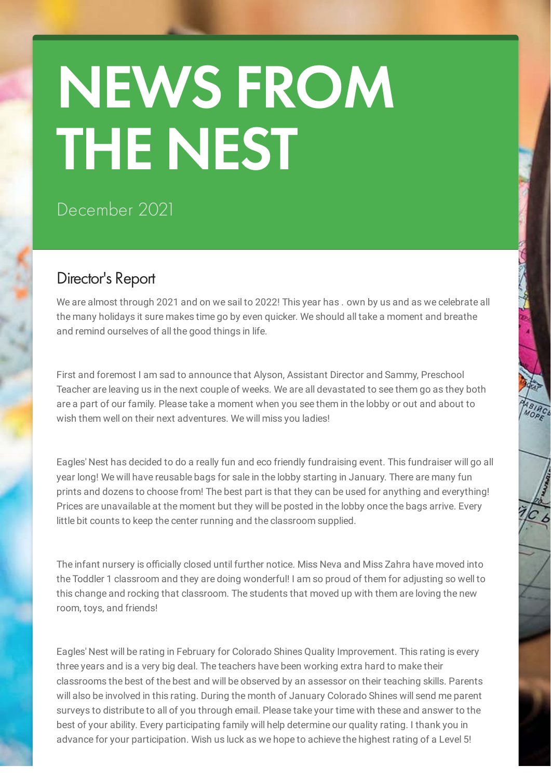# NEWS FROM THE NEST

## December 2021

## Director's Report

We are almost through 2021 and on we sail to 2022! This year has, own by us and as we celebrate all the many holidays it sure makes time go by even quicker. We should all take a moment and breathe and remind ourselves of all the good things in life.

First and foremost I am sad to announce that Alyson, Assistant Director and Sammy, Preschool Teacher are leaving us in the next couple of weeks. We are all devastated to see them go as they both are a part of our family. Please take a moment when you see them in the lobby or out and about to wish them well on their next adventures. We will miss you ladies!

Eagles' Nest has decided to do a really fun and eco friendly fundraising event. This fundraiser will go all year long! We will have reusable bags for sale in the lobby starting in January. There are many fun prints and dozens to choose from! The best part is that they can be used for anything and everything! Prices are unavailable at the moment but they will be posted in the lobby once the bags arrive. Every little bit counts to keep the center running and the classroom supplied.

The infant nursery is officially closed until further notice. Miss Neva and Miss Zahra have moved into the Toddler 1 classroom and they are doing wonderful! I am so proud of them for adjusting so well to this change and rocking that classroom. The students that moved up with them are loving the new room, toys, and friends!

Eagles' Nest will be rating in February for Colorado Shines Quality Improvement. This rating is every three years and is a very big deal. The teachers have been working extra hard to make their classrooms the best of the best and will be observed by an assessor on their teaching skills. Parents will also be involved in this rating. During the month of January Colorado Shines will send me parent surveys to distribute to all of you through email. Please take your time with these and answer to the best of your ability. Every participating family will help determine our quality rating. I thank you in advance for your participation. Wish us luck as we hope to achieve the highest rating of a Level 5!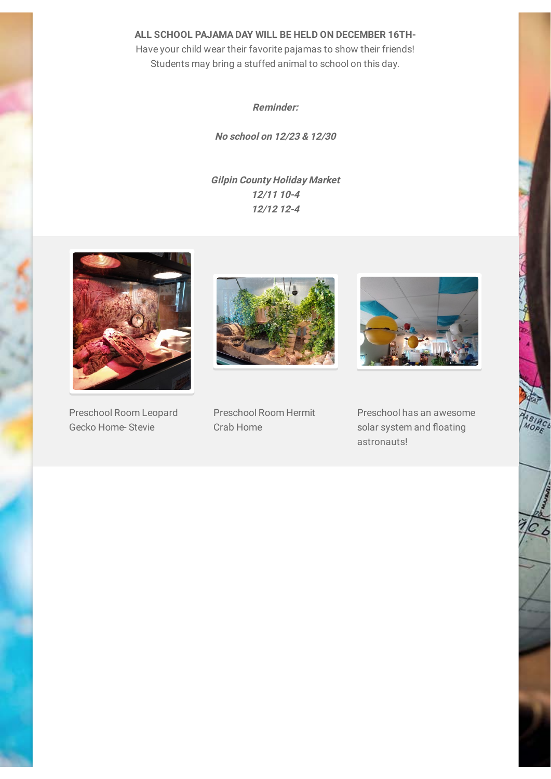**ALL SCHOOL PAJAMA DAY WILL BE HELD ON DECEMBER 16TH-**

Have your child wear their favorite pajamas to show their friends! Students may bring a stuffed animal to school on this day.

**Reminder:**

**No school on 12/23 & 12/30**

**Gilpin County Holiday Market 12/11 10-4 12/12 12-4**



Preschool Room Leopard Gecko Home- Stevie



Preschool Room Hermit Crab Home



Preschool has an awesome solar system and floating astronauts!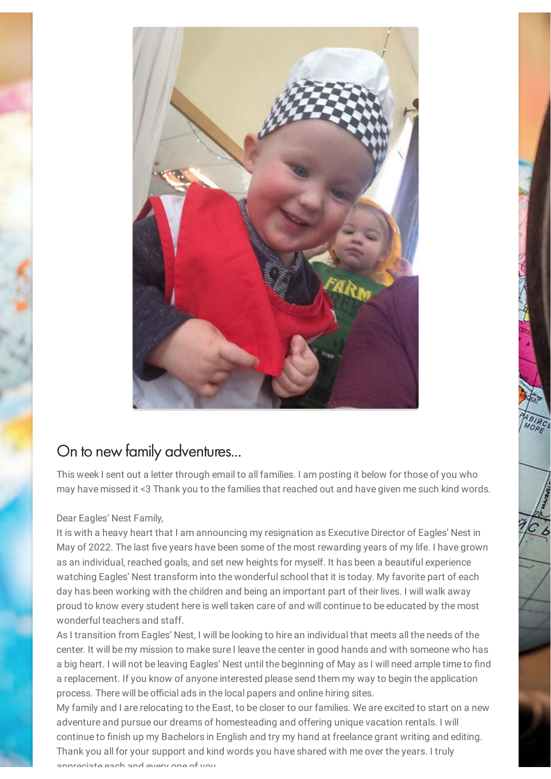

## On to new family adventures...

This week I sent out a letter through email to all families. I am posting it below for those of you who may have missed it <3 Thank you to the families that reached out and have given me such kind words.

#### Dear Eagles' Nest Family,

It is with a heavy heart that I am announcing my resignation as Executive Director of Eagles' Nest in May of 2022. The last five years have been some of the most rewarding years of my life. I have grown as an individual, reached goals, and set new heights for myself. It has been a beautiful experience watching Eagles' Nest transform into the wonderful school that it is today. My favorite part of each day has been working with the children and being an important part of their lives. I will walk away proud to know every student here is well taken care of and will continue to be educated by the most wonderful teachers and staff.

As I transition from Eagles' Nest, I will be looking to hire an individual that meets all the needs of the center. It will be my mission to make sure I leave the center in good hands and with someone who has a big heart. I will not be leaving Eagles' Nest until the beginning of May as I will need ample time to find a replacement. If you know of anyone interested please send them my way to begin the application process. There will be official ads in the local papers and online hiring sites.

My family and I are relocating to the East, to be closer to our families. We are excited to start on a new adventure and pursue our dreams of homesteading and offering unique vacation rentals. I will continue to finish up my Bachelors in English and try my hand at freelance grant writing and editing. Thank you all for your support and kind words you have shared with me over the years. I truly appreciate each and every one of you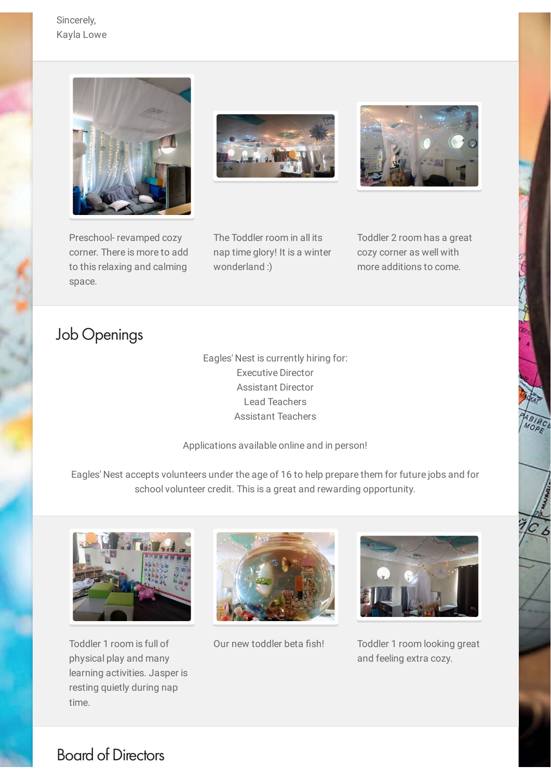Sincerely, Kayla Lowe







Preschool- revamped cozy corner. There is more to add to this relaxing and calming space.

The Toddler room in all its nap time glory! It is a winter wonderland :)

Toddler 2 room has a great cozy corner as well with more additions to come.

C<br>S<br>S<br>S

## Job Openings

Eagles' Nest is currently hiring for: Executive Director Assistant Director Lead Teachers Assistant Teachers

Applications available online and in person!

Eagles' Nest accepts volunteers under the age of 16 to help prepare them for future jobs and for school volunteer credit. This is a great and rewarding opportunity.



Toddler 1 room is full of physical play and many learning activities. Jasper is resting quietly during nap time.





Our new toddler beta fish! Toddler 1 room looking great and feeling extra cozy.

### Board of Directors